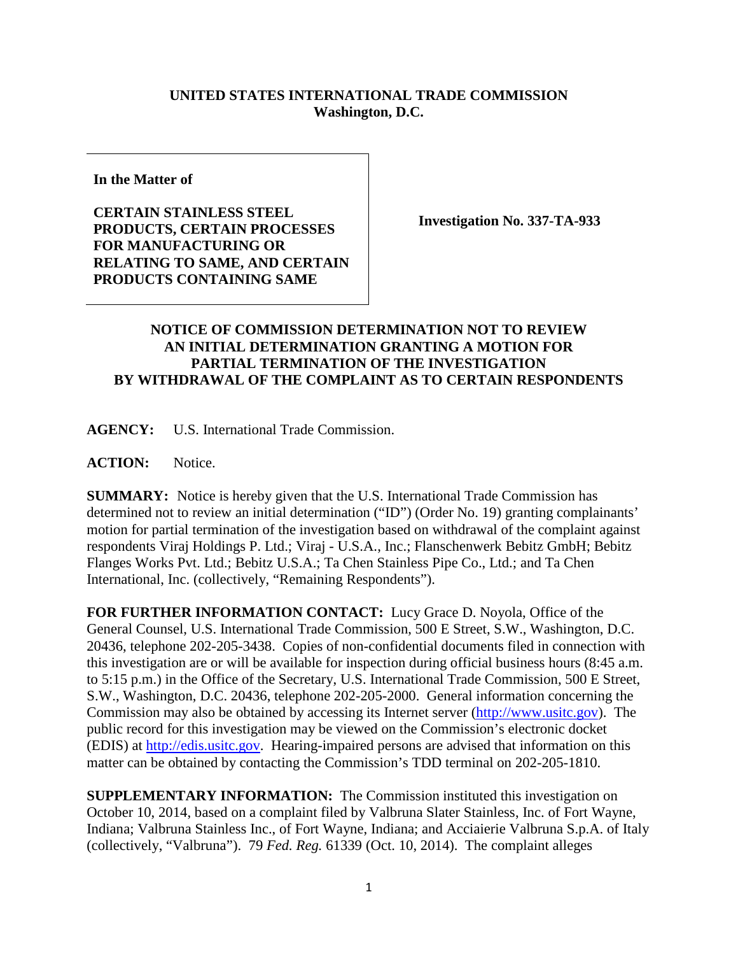## **UNITED STATES INTERNATIONAL TRADE COMMISSION Washington, D.C.**

**In the Matter of**

**CERTAIN STAINLESS STEEL PRODUCTS, CERTAIN PROCESSES FOR MANUFACTURING OR RELATING TO SAME, AND CERTAIN PRODUCTS CONTAINING SAME** 

**Investigation No. 337-TA-933**

## **NOTICE OF COMMISSION DETERMINATION NOT TO REVIEW AN INITIAL DETERMINATION GRANTING A MOTION FOR PARTIAL TERMINATION OF THE INVESTIGATION BY WITHDRAWAL OF THE COMPLAINT AS TO CERTAIN RESPONDENTS**

**AGENCY:** U.S. International Trade Commission.

**ACTION:** Notice.

**SUMMARY:** Notice is hereby given that the U.S. International Trade Commission has determined not to review an initial determination ("ID") (Order No. 19) granting complainants' motion for partial termination of the investigation based on withdrawal of the complaint against respondents Viraj Holdings P. Ltd.; Viraj - U.S.A., Inc.; Flanschenwerk Bebitz GmbH; Bebitz Flanges Works Pvt. Ltd.; Bebitz U.S.A.; Ta Chen Stainless Pipe Co., Ltd.; and Ta Chen International, Inc. (collectively, "Remaining Respondents").

**FOR FURTHER INFORMATION CONTACT:** Lucy Grace D. Noyola, Office of the General Counsel, U.S. International Trade Commission, 500 E Street, S.W., Washington, D.C. 20436, telephone 202-205-3438. Copies of non-confidential documents filed in connection with this investigation are or will be available for inspection during official business hours (8:45 a.m. to 5:15 p.m.) in the Office of the Secretary, U.S. International Trade Commission, 500 E Street, S.W., Washington, D.C. 20436, telephone 202-205-2000. General information concerning the Commission may also be obtained by accessing its Internet server [\(http://www.usitc.gov\)](http://www.usitc.gov/). The public record for this investigation may be viewed on the Commission's electronic docket (EDIS) at [http://edis.usitc.gov.](http://edis.usitc.gov/) Hearing-impaired persons are advised that information on this matter can be obtained by contacting the Commission's TDD terminal on 202-205-1810.

**SUPPLEMENTARY INFORMATION:** The Commission instituted this investigation on October 10, 2014, based on a complaint filed by Valbruna Slater Stainless, Inc. of Fort Wayne, Indiana; Valbruna Stainless Inc., of Fort Wayne, Indiana; and Acciaierie Valbruna S.p.A. of Italy (collectively, "Valbruna"). 79 *Fed. Reg.* 61339 (Oct. 10, 2014). The complaint alleges